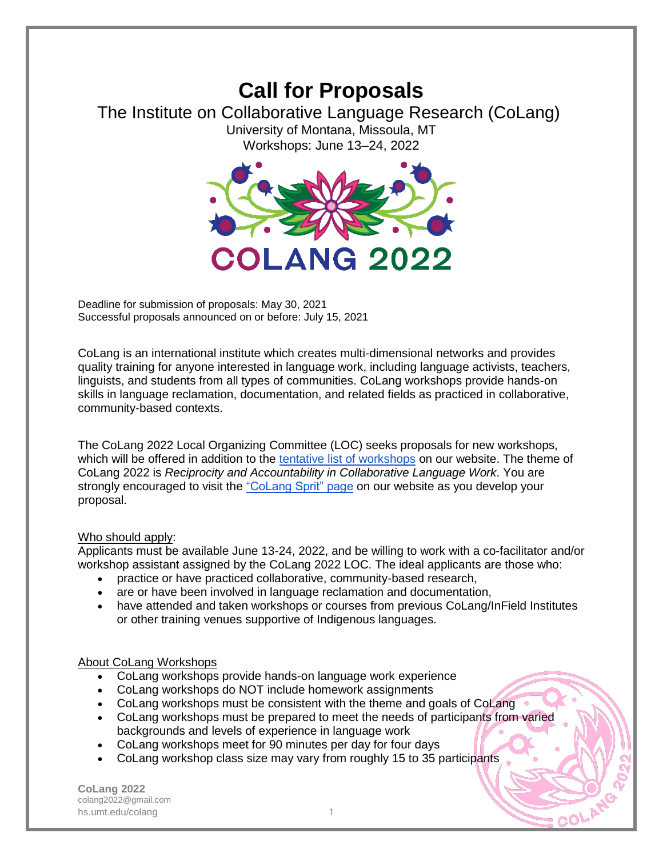## **Call for Proposals** The Institute on Collaborative Language Research (CoLang) University of Montana, Missoula, MT Workshops: June 13–24, 2022



Deadline for submission of proposals: May 30, 2021 Successful proposals announced on or before: July 15, 2021

CoLang is an international institute which creates multi-dimensional networks and provides quality training for anyone interested in language work, including language activists, teachers, linguists, and students from all types of communities. CoLang workshops provide hands-on skills in language reclamation, documentation, and related fields as practiced in collaborative, community-based contexts.

The CoLang 2022 Local Organizing Committee (LOC) seeks proposals for new workshops, which will be offered in addition to the [tentative list of workshops](http://hs.umt.edu/colang/colang2022/workshops/default.php) on our website. The theme of CoLang 2022 is *Reciprocity and Accountability in Collaborative Language Work*. You are strongly encouraged to visit the ["CoLang Sprit" page](http://hs.umt.edu/colang/colang2022/colang-spirit/default.php) on our website as you develop your proposal.

## Who should apply:

Applicants must be available June 13-24, 2022, and be willing to work with a co-facilitator and/or workshop assistant assigned by the CoLang 2022 LOC. The ideal applicants are those who:

- practice or have practiced collaborative, community-based research,
- are or have been involved in language reclamation and documentation,
- have attended and taken workshops or courses from previous CoLang/InField Institutes or other training venues supportive of Indigenous languages.

## About CoLang Workshops

- CoLang workshops provide hands-on language work experience
- CoLang workshops do NOT include homework assignments
- CoLang workshops must be consistent with the theme and goals of CoLang
- CoLang workshops must be prepared to meet the needs of participants from varied backgrounds and levels of experience in language work
- CoLang workshops meet for 90 minutes per day for four days
- CoLang workshop class size may vary from roughly 15 to 35 participants

**CoLang 2022** colang2022@gmail.com hs.umt.edu/colang 1